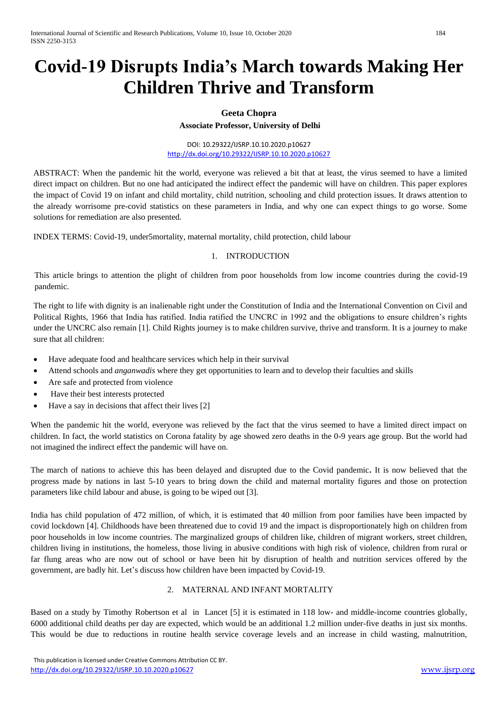# **Covid-19 Disrupts India's March towards Making Her Children Thrive and Transform**

#### **Geeta Chopra**

**Associate Professor, University of Delhi**

DOI: 10.29322/IJSRP.10.10.2020.p10627 <http://dx.doi.org/10.29322/IJSRP.10.10.2020.p10627>

ABSTRACT: When the pandemic hit the world, everyone was relieved a bit that at least, the virus seemed to have a limited direct impact on children. But no one had anticipated the indirect effect the pandemic will have on children. This paper explores the impact of Covid 19 on infant and child mortality, child nutrition, schooling and child protection issues. It draws attention to the already worrisome pre-covid statistics on these parameters in India, and why one can expect things to go worse. Some solutions for remediation are also presented.

INDEX TERMS: Covid-19, under5mortality, maternal mortality, child protection, child labour

#### 1. INTRODUCTION

This article brings to attention the plight of children from poor households from low income countries during the covid-19 pandemic.

The right to life with dignity is an inalienable right under the Constitution of India and the International Convention on Civil and Political Rights, 1966 that India has ratified. India ratified the UNCRC in 1992 and the obligations to ensure children's rights under the UNCRC also remain [1]. Child Rights journey is to make children survive, thrive and transform. It is a journey to make sure that all children:

- Have adequate food and healthcare services which help in their survival
- Attend schools and *anganwadis* where they get opportunities to learn and to develop their faculties and skills
- Are safe and protected from violence
- Have their best interests protected
- Have a say in decisions that affect their lives [2]

When the pandemic hit the world, everyone was relieved by the fact that the virus seemed to have a limited direct impact on children. In fact, the world statistics on Corona fatality by age showed zero deaths in the 0-9 years age group. But the world had not imagined the indirect effect the pandemic will have on.

The march of nations to achieve this has been delayed and disrupted due to the Covid pandemic**.** It is now believed that the progress made by nations in last 5-10 years to bring down the child and maternal mortality figures and those on protection parameters like child labour and abuse, is going to be wiped out [3].

India has child population of 472 million, of which, it is estimated that 40 million from poor families have been impacted by covid lockdown [4]. Childhoods have been threatened due to covid 19 and the impact is disproportionately high on children from poor households in low income countries. The marginalized groups of children like, children of migrant workers, street children, children living in institutions, the homeless, those living in abusive conditions with high risk of violence, children from rural or far flung areas who are now out of school or have been hit by disruption of health and nutrition services offered by the government, are badly hit. Let's discuss how children have been impacted by Covid-19.

#### 2. MATERNAL AND INFANT MORTALITY

Based on a study by Timothy Robertson et al in Lancet [5] it is estimated in 118 low- and middle-income countries globally, 6000 additional child deaths per day are expected, which would be an additional 1.2 million under-five deaths in just six months. This would be due to reductions in routine health service coverage levels and an increase in child wasting, malnutrition,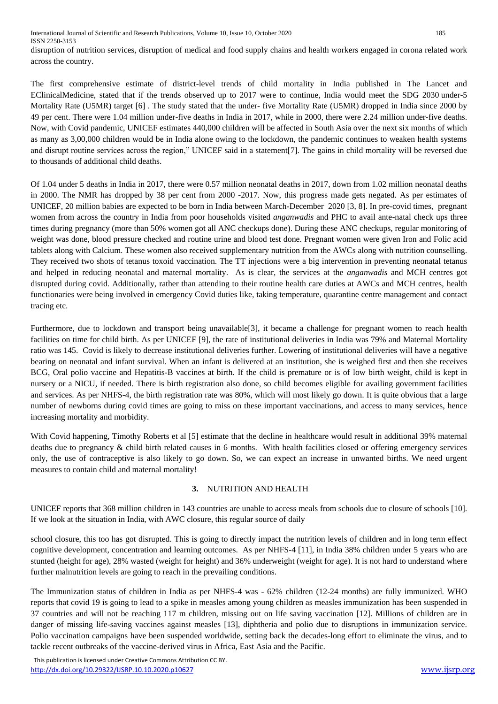disruption of nutrition services, disruption of medical and food supply chains and health workers engaged in corona related work across the country.

The first comprehensive estimate of district-level trends of child mortality in India published in The Lancet and EClinicalMedicine, stated that if the trends observed up to 2017 were to continue, India would meet the SDG 2030 under-5 Mortality Rate (U5MR) target [6]. The study stated that the under- five Mortality Rate (U5MR) dropped in India since 2000 by 49 per cent. There were 1.04 million under-five deaths in India in 2017, while in 2000, there were 2.24 million under-five deaths. Now, with Covid pandemic, UNICEF estimates 440,000 children will be affected in South Asia over the next six months of which as many as 3,00,000 children would be in India alone owing to the lockdown, the pandemic continues to weaken health systems and disrupt routine services across the region," UNICEF said in a statement[7]. The gains in child mortality will be reversed due to thousands of additional child deaths.

Of 1.04 under 5 deaths in India in 2017, there were 0.57 million neonatal deaths in 2017, down from 1.02 million neonatal deaths in 2000. The NMR has dropped by 38 per cent from 2000 -2017. Now, this progress made gets negated. As per estimates of UNICEF, 20 million babies are expected to be born in India between March-December 2020 [3, 8]. In pre-covid times, pregnant women from across the country in India from poor households visited *anganwadis* and PHC to avail ante-natal check ups three times during pregnancy (more than 50% women got all ANC checkups done). During these ANC checkups, regular monitoring of weight was done, blood pressure checked and routine urine and blood test done. Pregnant women were given Iron and Folic acid tablets along with Calcium. These women also received supplementary nutrition from the AWCs along with nutrition counselling. They received two shots of tetanus toxoid vaccination. The TT injections were a big intervention in preventing neonatal tetanus and helped in reducing neonatal and maternal mortality. As is clear, the services at the *anganwadis* and MCH centres got disrupted during covid. Additionally, rather than attending to their routine health care duties at AWCs and MCH centres, health functionaries were being involved in emergency Covid duties like, taking temperature, quarantine centre management and contact tracing etc.

Furthermore, due to lockdown and transport being unavailable<sup>[3]</sup>, it became a challenge for pregnant women to reach health facilities on time for child birth. As per UNICEF [9], the rate of institutional deliveries in India was 79% and Maternal Mortality ratio was 145. Covid is likely to decrease institutional deliveries further. Lowering of institutional deliveries will have a negative bearing on neonatal and infant survival. When an infant is delivered at an institution, she is weighed first and then she receives BCG, Oral polio vaccine and Hepatitis-B vaccines at birth. If the child is premature or is of low birth weight, child is kept in nursery or a NICU, if needed. There is birth registration also done, so child becomes eligible for availing government facilities and services. As per NHFS-4, the birth registration rate was 80%, which will most likely go down. It is quite obvious that a large number of newborns during covid times are going to miss on these important vaccinations, and access to many services, hence increasing mortality and morbidity.

With Covid happening, Timothy Roberts et al [5] estimate that the decline in healthcare would result in additional 39% maternal deaths due to pregnancy & child birth related causes in 6 months. With health facilities closed or offering emergency services only, the use of contraceptive is also likely to go down. So, we can expect an increase in unwanted births. We need urgent measures to contain child and maternal mortality!

#### **3.** NUTRITION AND HEALTH

UNICEF reports that 368 million children in 143 countries are unable to access meals from schools due to closure of schools [10]. If we look at the situation in India, with AWC closure, this regular source of daily

school closure, this too has got disrupted. This is going to directly impact the nutrition levels of children and in long term effect cognitive development, concentration and learning outcomes. As per NHFS-4 [11], in India 38% children under 5 years who are stunted (height for age), 28% wasted (weight for height) and 36% underweight (weight for age). It is not hard to understand where further malnutrition levels are going to reach in the prevailing conditions.

The Immunization status of children in India as per NHFS-4 was - 62% children (12-24 months) are fully immunized. WHO reports that covid 19 is going to lead to a spike in measles among young children as measles immunization has been suspended in 37 countries and will not be reaching 117 m children, missing out on life saving vaccination [12]. Millions of children are in danger of missing life-saving vaccines against measles [13], diphtheria and polio due to disruptions in immunization service. Polio vaccination campaigns have been suspended worldwide, setting back the decades-long effort to eliminate the virus, and to tackle recent outbreaks of the vaccine-derived virus in Africa, East Asia and the Pacific.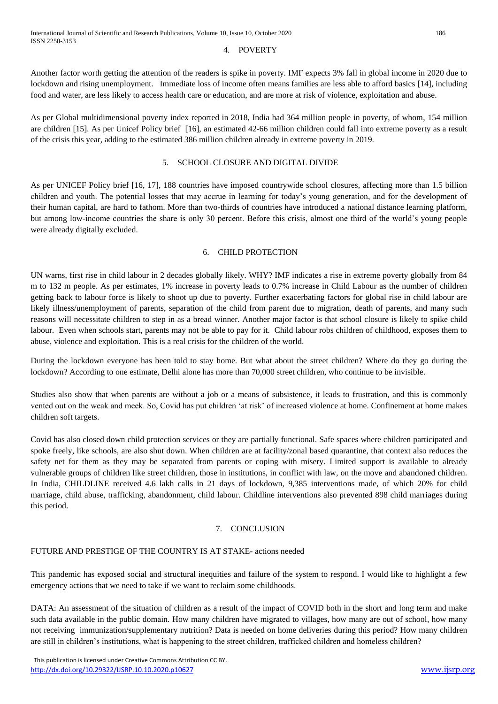#### 4. POVERTY

Another factor worth getting the attention of the readers is spike in poverty. IMF expects 3% fall in global income in 2020 due to lockdown and rising unemployment. Immediate loss of income often means families are less able to afford basics [14], including food and water, are less likely to access health care or education, and are more at risk of violence, exploitation and abuse.

As per Global multidimensional poverty index reported in 2018, India had 364 million people in poverty, of whom, 154 million are children [15]. As per Unicef Policy brief [16], an estimated 42-66 million children could fall into extreme poverty as a result of the crisis this year, adding to the estimated 386 million children already in extreme poverty in 2019.

### 5. SCHOOL CLOSURE AND DIGITAL DIVIDE

As per UNICEF Policy brief [16, 17], 188 countries have imposed countrywide school closures, affecting more than 1.5 billion children and youth. The potential losses that may accrue in learning for today's young generation, and for the development of their human capital, are hard to fathom. More than two-thirds of countries have introduced a national distance learning platform, but among low-income countries the share is only 30 percent. Before this crisis, almost one third of the world's young people were already digitally excluded.

#### 6. CHILD PROTECTION

UN warns, first rise in child labour in 2 decades globally likely. WHY? IMF indicates a rise in extreme poverty globally from 84 m to 132 m people. As per estimates, 1% increase in poverty leads to 0.7% increase in Child Labour as the number of children getting back to labour force is likely to shoot up due to poverty. Further exacerbating factors for global rise in child labour are likely illness/unemployment of parents, separation of the child from parent due to migration, death of parents, and many such reasons will necessitate children to step in as a bread winner. Another major factor is that school closure is likely to spike child labour. Even when schools start, parents may not be able to pay for it. Child labour robs children of childhood, exposes them to abuse, violence and exploitation. This is a real crisis for the children of the world.

During the lockdown everyone has been told to stay home. But what about the street children? Where do they go during the lockdown? According to one estimate, Delhi alone has more than 70,000 street children, who continue to be invisible.

Studies also show that when parents are without a job or a means of subsistence, it leads to frustration, and this is commonly vented out on the weak and meek. So, Covid has put children 'at risk' of increased violence at home. Confinement at home makes children soft targets.

Covid has also closed down child protection services or they are partially functional. Safe spaces where children participated and spoke freely, like schools, are also shut down. When children are at facility/zonal based quarantine, that context also reduces the safety net for them as they may be separated from parents or coping with misery. Limited support is available to already vulnerable groups of children like street children, those in institutions, in conflict with law, on the move and abandoned children. In India, CHILDLINE received 4.6 lakh calls in 21 days of lockdown, 9,385 interventions made, of which 20% for child marriage, child abuse, trafficking, abandonment, child labour. Childline interventions also prevented 898 child marriages during this period.

#### 7. CONCLUSION

## FUTURE AND PRESTIGE OF THE COUNTRY IS AT STAKE- actions needed

This pandemic has exposed social and structural inequities and failure of the system to respond. I would like to highlight a few emergency actions that we need to take if we want to reclaim some childhoods.

DATA: An assessment of the situation of children as a result of the impact of COVID both in the short and long term and make such data available in the public domain. How many children have migrated to villages, how many are out of school, how many not receiving immunization/supplementary nutrition? Data is needed on home deliveries during this period? How many children are still in children's institutions, what is happening to the street children, trafficked children and homeless children?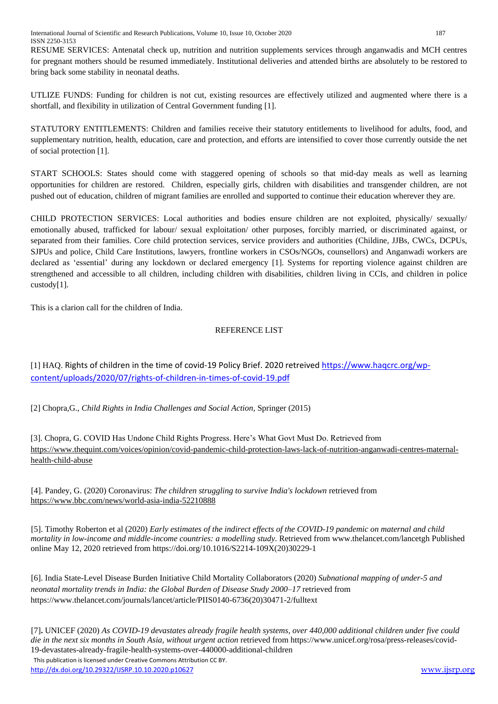RESUME SERVICES: Antenatal check up, nutrition and nutrition supplements services through anganwadis and MCH centres for pregnant mothers should be resumed immediately. Institutional deliveries and attended births are absolutely to be restored to bring back some stability in neonatal deaths.

UTLIZE FUNDS: Funding for children is not cut, existing resources are effectively utilized and augmented where there is a shortfall, and flexibility in utilization of Central Government funding [1].

STATUTORY ENTITLEMENTS: Children and families receive their statutory entitlements to livelihood for adults, food, and supplementary nutrition, health, education, care and protection, and efforts are intensified to cover those currently outside the net of social protection [1].

START SCHOOLS: States should come with staggered opening of schools so that mid-day meals as well as learning opportunities for children are restored. Children, especially girls, children with disabilities and transgender children, are not pushed out of education, children of migrant families are enrolled and supported to continue their education wherever they are.

CHILD PROTECTION SERVICES: Local authorities and bodies ensure children are not exploited, physically/ sexually/ emotionally abused, trafficked for labour/ sexual exploitation/ other purposes, forcibly married, or discriminated against, or separated from their families. Core child protection services, service providers and authorities (Childine, JJBs, CWCs, DCPUs, SJPUs and police, Child Care Institutions, lawyers, frontline workers in CSOs/NGOs, counsellors) and Anganwadi workers are declared as 'essential' during any lockdown or declared emergency [1]. Systems for reporting violence against children are strengthened and accessible to all children, including children with disabilities, children living in CCIs, and children in police custody[1].

This is a clarion call for the children of India.

#### REFERENCE LIST

[1] HAQ. Rights of children in the time of covid-19 Policy Brief. 2020 retreived [https://www.haqcrc.org/wp](https://www.haqcrc.org/wp-content/uploads/2020/07/rights-of-children-in-times-of-covid-19.pdf)[content/uploads/2020/07/rights-of-children-in-times-of-covid-19.pdf](https://www.haqcrc.org/wp-content/uploads/2020/07/rights-of-children-in-times-of-covid-19.pdf)

[2] Chopra,G., *Child Rights in India Challenges and Social Action,* Springer (2015)

[3]. Chopra, G. COVID Has Undone Child Rights Progress. Here's What Govt Must Do. Retrieved from [https://www.thequint.com/voices/opinion/covid-pandemic-child-protection-laws-lack-of-nutrition-anganwadi-centres-maternal](https://www.thequint.com/voices/opinion/covid-pandemic-child-protection-laws-lack-of-nutrition-anganwadi-centres-maternal-health-child-abuse)[health-child-abuse](https://www.thequint.com/voices/opinion/covid-pandemic-child-protection-laws-lack-of-nutrition-anganwadi-centres-maternal-health-child-abuse)

 [4]. Pandey, G. (2020) Coronavirus: *The children struggling to survive India's lockdown* retrieved from <https://www.bbc.com/news/world-asia-india-52210888>

 [5]. Timothy Roberton et al (2020) *Early estimates of the indirect effects of the COVID-19 pandemic on maternal and child mortality in low-income and middle-income countries: a modelling study*. Retrieved from www.thelancet.com/lancetgh Published online May 12, 2020 retrieved fro[m https://doi.org/10.1016/S2214-109X\(20\)30229-1](https://doi.org/10.1016/S2214-109X(20)30229-1)

 [6]. India State-Level Disease Burden Initiative Child Mortality Collaborators (2020) *Subnational mapping of under-5 and neonatal mortality trends in India: the Global Burden of Disease Study 2000–17* retrieved from [https://www.thelancet.com/journals/lancet/article/PIIS0140-6736\(20\)30471-2/fulltext](https://www.thelancet.com/journals/lancet/article/PIIS0140-6736(20)30471-2/fulltext)

 This publication is licensed under Creative Commons Attribution CC BY. [7]**.** UNICEF (2020) *As COVID-19 devastates already fragile health systems, over 440,000 additional children under five could die in the next six months in South Asia, without urgent action* retrieved from https://www.unicef.org/rosa/press-releases/covid-19-devastates-already-fragile-health-systems-over-440000-additional-children